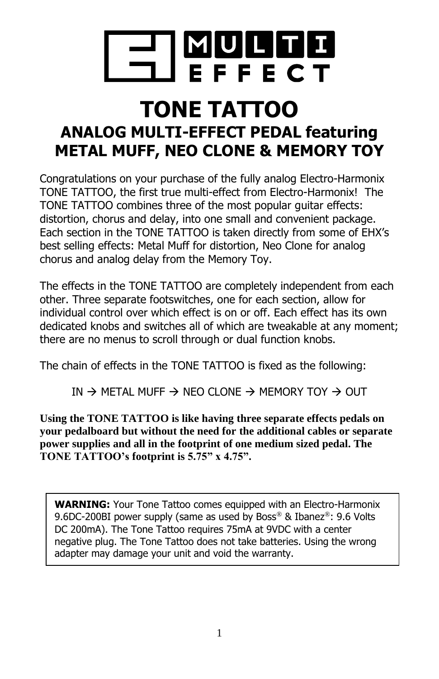

# **TONE TATTOO ANALOG MULTI-EFFECT PEDAL featuring METAL MUFF, NEO CLONE & MEMORY TOY**

Congratulations on your purchase of the fully analog Electro-Harmonix TONE TATTOO, the first true multi-effect from Electro-Harmonix! The TONE TATTOO combines three of the most popular guitar effects: distortion, chorus and delay, into one small and convenient package. Each section in the TONE TATTOO is taken directly from some of EHX's best selling effects: Metal Muff for distortion, Neo Clone for analog chorus and analog delay from the Memory Toy.

The effects in the TONE TATTOO are completely independent from each other. Three separate footswitches, one for each section, allow for individual control over which effect is on or off. Each effect has its own dedicated knobs and switches all of which are tweakable at any moment; there are no menus to scroll through or dual function knobs.

The chain of effects in the TONE TATTOO is fixed as the following:

IN  $\rightarrow$  METAL MUFF  $\rightarrow$  NEO CLONE  $\rightarrow$  MEMORY TOY  $\rightarrow$  OUT

**Using the TONE TATTOO is like having three separate effects pedals on your pedalboard but without the need for the additional cables or separate power supplies and all in the footprint of one medium sized pedal. The TONE TATTOO's footprint is 5.75" x 4.75".**

**WARNING:** Your Tone Tattoo comes equipped with an Electro-Harmonix 9.6DC-200BI power supply (same as used by Boss® & Ibanez®: 9.6 Volts DC 200mA). The Tone Tattoo requires 75mA at 9VDC with a center negative plug. The Tone Tattoo does not take batteries. Using the wrong adapter may damage your unit and void the warranty.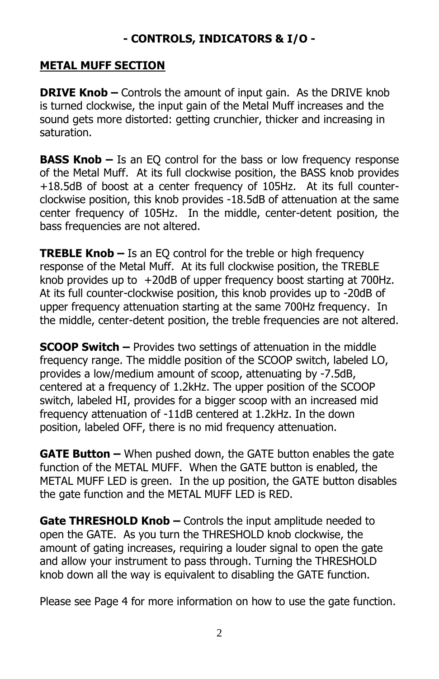## **- CONTROLS, INDICATORS & I/O -**

#### **METAL MUFF SECTION**

**DRIVE Knob –** Controls the amount of input gain. As the DRIVE knob is turned clockwise, the input gain of the Metal Muff increases and the sound gets more distorted: getting crunchier, thicker and increasing in saturation.

**BASS Knob –** Is an EQ control for the bass or low frequency response of the Metal Muff. At its full clockwise position, the BASS knob provides +18.5dB of boost at a center frequency of 105Hz. At its full counterclockwise position, this knob provides -18.5dB of attenuation at the same center frequency of 105Hz. In the middle, center-detent position, the bass frequencies are not altered.

**TREBLE Knob –** Is an EQ control for the treble or high frequency response of the Metal Muff. At its full clockwise position, the TREBLE knob provides up to +20dB of upper frequency boost starting at 700Hz. At its full counter-clockwise position, this knob provides up to -20dB of upper frequency attenuation starting at the same 700Hz frequency. In the middle, center-detent position, the treble frequencies are not altered.

**SCOOP Switch –** Provides two settings of attenuation in the middle frequency range. The middle position of the SCOOP switch, labeled LO, provides a low/medium amount of scoop, attenuating by -7.5dB, centered at a frequency of 1.2kHz. The upper position of the SCOOP switch, labeled HI, provides for a bigger scoop with an increased mid frequency attenuation of -11dB centered at 1.2kHz. In the down position, labeled OFF, there is no mid frequency attenuation.

**GATE Button –** When pushed down, the GATE button enables the gate function of the METAL MUFF. When the GATE button is enabled, the METAL MUFF LED is green. In the up position, the GATE button disables the gate function and the METAL MUFF LED is RED.

**Gate THRESHOLD Knob –** Controls the input amplitude needed to open the GATE. As you turn the THRESHOLD knob clockwise, the amount of gating increases, requiring a louder signal to open the gate and allow your instrument to pass through. Turning the THRESHOLD knob down all the way is equivalent to disabling the GATE function.

Please see Page 4 for more information on how to use the gate function.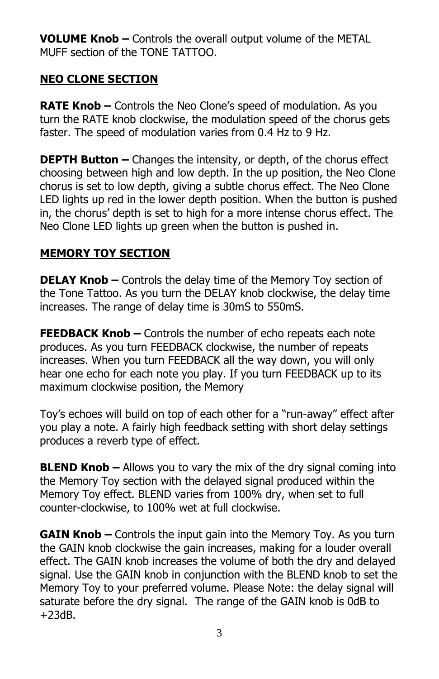**VOLUME Knob –** Controls the overall output volume of the METAL MUFF section of the TONE TATTOO.

# **NEO CLONE SECTION**

**RATE Knob –** Controls the Neo Clone's speed of modulation. As you turn the RATE knob clockwise, the modulation speed of the chorus gets faster. The speed of modulation varies from 0.4 Hz to 9 Hz.

**DEPTH Button –** Changes the intensity, or depth, of the chorus effect choosing between high and low depth. In the up position, the Neo Clone chorus is set to low depth, giving a subtle chorus effect. The Neo Clone LED lights up red in the lower depth position. When the button is pushed in, the chorus' depth is set to high for a more intense chorus effect. The Neo Clone LED lights up green when the button is pushed in.

# **MEMORY TOY SECTION**

**DELAY Knob –** Controls the delay time of the Memory Toy section of the Tone Tattoo. As you turn the DELAY knob clockwise, the delay time increases. The range of delay time is 30mS to 550mS.

**FEEDBACK Knob –** Controls the number of echo repeats each note produces. As you turn FEEDBACK clockwise, the number of repeats increases. When you turn FEEDBACK all the way down, you will only hear one echo for each note you play. If you turn FEEDBACK up to its maximum clockwise position, the Memory

Toy's echoes will build on top of each other for a "run-away" effect after you play a note. A fairly high feedback setting with short delay settings produces a reverb type of effect.

**BLEND Knob –** Allows you to vary the mix of the dry signal coming into the Memory Toy section with the delayed signal produced within the Memory Toy effect. BLEND varies from 100% dry, when set to full counter-clockwise, to 100% wet at full clockwise.

**GAIN Knob –** Controls the input gain into the Memory Toy. As you turn the GAIN knob clockwise the gain increases, making for a louder overall effect. The GAIN knob increases the volume of both the dry and delayed signal. Use the GAIN knob in conjunction with the BLEND knob to set the Memory Toy to your preferred volume. Please Note: the delay signal will saturate before the dry signal. The range of the GAIN knob is 0dB to +23dB.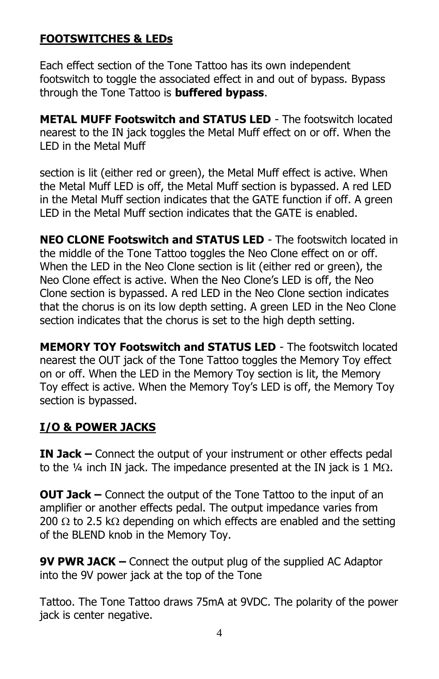## **FOOTSWITCHES & LEDs**

Each effect section of the Tone Tattoo has its own independent footswitch to toggle the associated effect in and out of bypass. Bypass through the Tone Tattoo is **buffered bypass**.

**METAL MUFF Footswitch and STATUS LED** - The footswitch located nearest to the IN jack toggles the Metal Muff effect on or off. When the LED in the Metal Muff

section is lit (either red or green), the Metal Muff effect is active. When the Metal Muff LED is off, the Metal Muff section is bypassed. A red LED in the Metal Muff section indicates that the GATE function if off. A green LED in the Metal Muff section indicates that the GATE is enabled.

**NEO CLONE Footswitch and STATUS LED** - The footswitch located in the middle of the Tone Tattoo toggles the Neo Clone effect on or off. When the LED in the Neo Clone section is lit (either red or green), the Neo Clone effect is active. When the Neo Clone's LED is off, the Neo Clone section is bypassed. A red LED in the Neo Clone section indicates that the chorus is on its low depth setting. A green LED in the Neo Clone section indicates that the chorus is set to the high depth setting.

**MEMORY TOY Footswitch and STATUS LED** - The footswitch located nearest the OUT jack of the Tone Tattoo toggles the Memory Toy effect on or off. When the LED in the Memory Toy section is lit, the Memory Toy effect is active. When the Memory Toy's LED is off, the Memory Toy section is bypassed.

#### **I/O & POWER JACKS**

**IN Jack –** Connect the output of your instrument or other effects pedal to the  $\frac{1}{4}$  inch IN jack. The impedance presented at the IN jack is 1 M $\Omega$ .

**OUT Jack –** Connect the output of the Tone Tattoo to the input of an amplifier or another effects pedal. The output impedance varies from 200  $\Omega$  to 2.5 k $\Omega$  depending on which effects are enabled and the setting of the BLEND knob in the Memory Toy.

**9V PWR JACK –** Connect the output plug of the supplied AC Adaptor into the 9V power jack at the top of the Tone

Tattoo. The Tone Tattoo draws 75mA at 9VDC. The polarity of the power jack is center negative.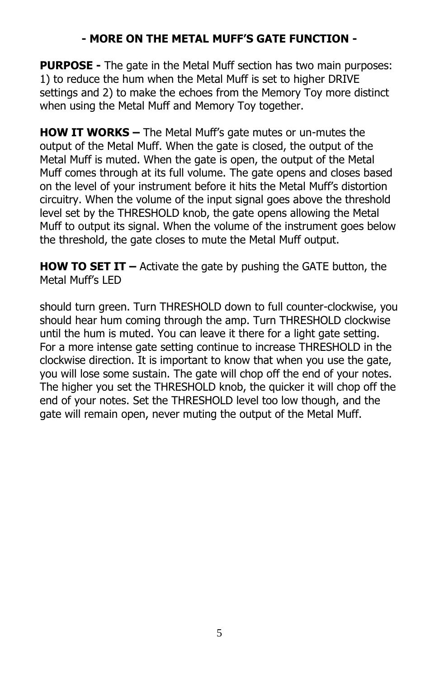## **- MORE ON THE METAL MUFF'S GATE FUNCTION -**

**PURPOSE -** The gate in the Metal Muff section has two main purposes: 1) to reduce the hum when the Metal Muff is set to higher DRIVE settings and 2) to make the echoes from the Memory Toy more distinct when using the Metal Muff and Memory Toy together.

**HOW IT WORKS –** The Metal Muff's gate mutes or un-mutes the output of the Metal Muff. When the gate is closed, the output of the Metal Muff is muted. When the gate is open, the output of the Metal Muff comes through at its full volume. The gate opens and closes based on the level of your instrument before it hits the Metal Muff's distortion circuitry. When the volume of the input signal goes above the threshold level set by the THRESHOLD knob, the gate opens allowing the Metal Muff to output its signal. When the volume of the instrument goes below the threshold, the gate closes to mute the Metal Muff output.

**HOW TO SET IT –** Activate the gate by pushing the GATE button, the Metal Muff's LED

should turn green. Turn THRESHOLD down to full counter-clockwise, you should hear hum coming through the amp. Turn THRESHOLD clockwise until the hum is muted. You can leave it there for a light gate setting. For a more intense gate setting continue to increase THRESHOLD in the clockwise direction. It is important to know that when you use the gate, you will lose some sustain. The gate will chop off the end of your notes. The higher you set the THRESHOLD knob, the quicker it will chop off the end of your notes. Set the THRESHOLD level too low though, and the gate will remain open, never muting the output of the Metal Muff.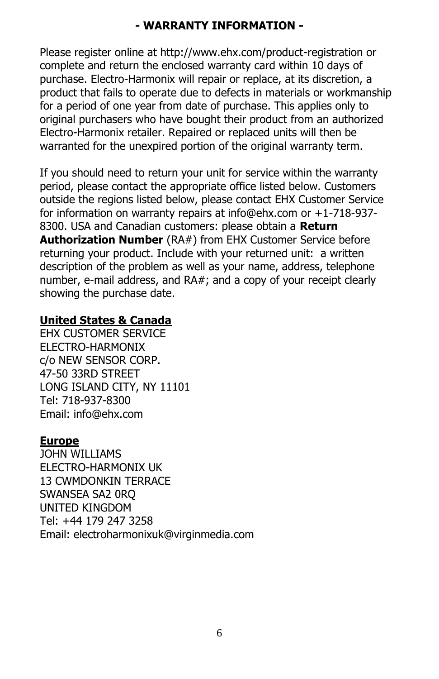# **- WARRANTY INFORMATION -**

Please register online at http://www.ehx.com/product-registration or complete and return the enclosed warranty card within 10 days of purchase. Electro-Harmonix will repair or replace, at its discretion, a product that fails to operate due to defects in materials or workmanship for a period of one year from date of purchase. This applies only to original purchasers who have bought their product from an authorized Electro-Harmonix retailer. Repaired or replaced units will then be warranted for the unexpired portion of the original warranty term.

If you should need to return your unit for service within the warranty period, please contact the appropriate office listed below. Customers outside the regions listed below, please contact EHX Customer Service for information on warranty repairs at info@ehx.com or +1-718-937- 8300. USA and Canadian customers: please obtain a **Return Authorization Number** (RA#) from EHX Customer Service before returning your product. Include with your returned unit: a written description of the problem as well as your name, address, telephone number, e-mail address, and RA#; and a copy of your receipt clearly showing the purchase date.

#### **United States & Canada**

EHX CUSTOMER SERVICE ELECTRO-HARMONIX c/o NEW SENSOR CORP. 47-50 33RD STREET LONG ISLAND CITY, NY 11101 Tel: 718-937-8300 Email: info@ehx.com

#### **Europe**

JOHN WILLIAMS ELECTRO-HARMONIX UK 13 CWMDONKIN TERRACE SWANSEA SA2 0RQ UNITED KINGDOM Tel: +44 179 247 3258 Email: electroharmonixuk@virginmedia.com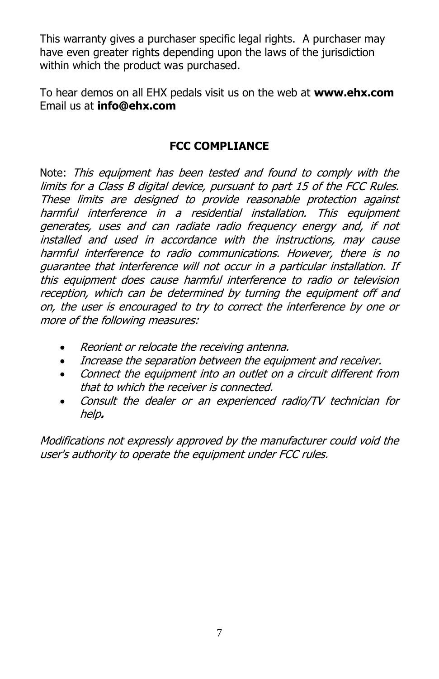This warranty gives a purchaser specific legal rights. A purchaser may have even greater rights depending upon the laws of the jurisdiction within which the product was purchased.

To hear demos on all EHX pedals visit us on the web at **www.ehx.com** Email us at **info@ehx.com**

#### **FCC COMPLIANCE**

Note: This equipment has been tested and found to comply with the limits for a Class B digital device, pursuant to part 15 of the FCC Rules. These limits are designed to provide reasonable protection against harmful interference in a residential installation. This equipment generates, uses and can radiate radio frequency energy and, if not installed and used in accordance with the instructions, may cause harmful interference to radio communications. However, there is no guarantee that interference will not occur in a particular installation. If this equipment does cause harmful interference to radio or television reception, which can be determined by turning the equipment off and on, the user is encouraged to try to correct the interference by one or more of the following measures:

- Reorient or relocate the receiving antenna.
- Increase the separation between the equipment and receiver.
- Connect the equipment into an outlet on a circuit different from that to which the receiver is connected.
- Consult the dealer or an experienced radio/TV technician for help**.**

Modifications not expressly approved by the manufacturer could void the user's authority to operate the equipment under FCC rules.